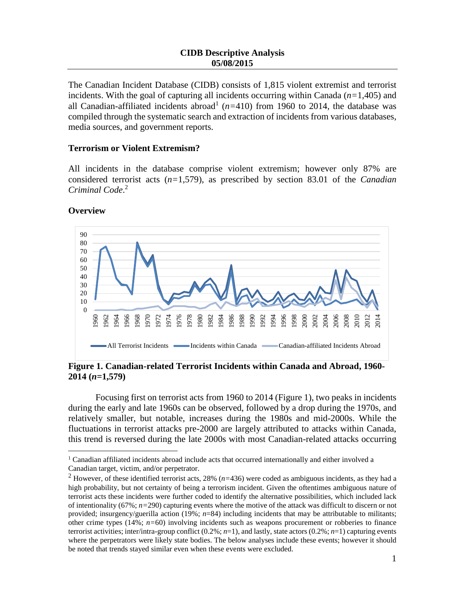The Canadian Incident Database (CIDB) consists of 1,815 violent extremist and terrorist incidents. With the goal of capturing all incidents occurring within Canada (*n=*1,405) and all Canadian-affiliated incidents abroad<sup>1</sup> ( $n=410$ ) from 1960 to 2014, the database was compiled through the systematic search and extraction of incidents from various databases, media sources, and government reports.

## **Terrorism or Violent Extremism?**

All incidents in the database comprise violent extremism; however only 87% are considered terrorist acts (*n=*1,579), as prescribed by section 83.01 of the *Canadian Criminal Code*. 2



## **Overview**

 $\overline{a}$ 

**Figure 1. Canadian-related Terrorist Incidents within Canada and Abroad, 1960- 2014 (***n=***1,579)**

Focusing first on terrorist acts from 1960 to 2014 (Figure 1), two peaks in incidents during the early and late 1960s can be observed, followed by a drop during the 1970s, and relatively smaller, but notable, increases during the 1980s and mid-2000s. While the fluctuations in terrorist attacks pre-2000 are largely attributed to attacks within Canada, this trend is reversed during the late 2000s with most Canadian-related attacks occurring

<sup>&</sup>lt;sup>1</sup> Canadian affiliated incidents abroad include acts that occurred internationally and either involved a Canadian target, victim, and/or perpetrator.

<sup>2</sup> However, of these identified terrorist acts, 28% (*n=*436) were coded as ambiguous incidents, as they had a high probability, but not certainty of being a terrorism incident. Given the oftentimes ambiguous nature of terrorist acts these incidents were further coded to identify the alternative possibilities, which included lack of intentionality (67%; *n=*290) capturing events where the motive of the attack was difficult to discern or not provided; insurgency/guerilla action (19%; *n*=84) including incidents that may be attributable to militants; other crime types (14%; *n=*60) involving incidents such as weapons procurement or robberies to finance terrorist activities; inter/intra-group conflict  $(0.2\%; n=1)$ , and lastly, state actors  $(0.2\%; n=1)$  capturing events where the perpetrators were likely state bodies. The below analyses include these events; however it should be noted that trends stayed similar even when these events were excluded.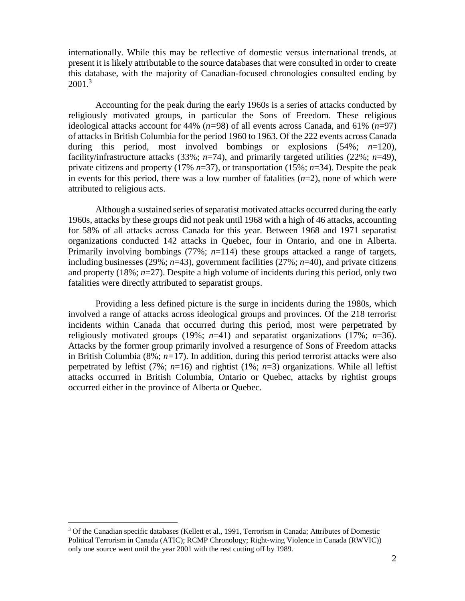internationally. While this may be reflective of domestic versus international trends, at present it is likely attributable to the source databases that were consulted in order to create this database, with the majority of Canadian-focused chronologies consulted ending by  $2001.<sup>3</sup>$ 

Accounting for the peak during the early 1960s is a series of attacks conducted by religiously motivated groups, in particular the Sons of Freedom. These religious ideological attacks account for 44% (*n=*98) of all events across Canada, and 61% (*n*=97) of attacks in British Columbia for the period 1960 to 1963. Of the 222 events across Canada during this period, most involved bombings or explosions (54%; *n*=120), facility/infrastructure attacks (33%;  $n=74$ ), and primarily targeted utilities (22%;  $n=49$ ), private citizens and property (17% *n*=37), or transportation (15%; *n*=34). Despite the peak in events for this period, there was a low number of fatalities  $(n=2)$ , none of which were attributed to religious acts.

Although a sustained series of separatist motivated attacks occurred during the early 1960s, attacks by these groups did not peak until 1968 with a high of 46 attacks, accounting for 58% of all attacks across Canada for this year. Between 1968 and 1971 separatist organizations conducted 142 attacks in Quebec, four in Ontario, and one in Alberta. Primarily involving bombings (77%; *n*=114) these groups attacked a range of targets, including businesses (29%; *n*=43), government facilities (27%; *n*=40), and private citizens and property (18%; *n*=27). Despite a high volume of incidents during this period, only two fatalities were directly attributed to separatist groups.

Providing a less defined picture is the surge in incidents during the 1980s, which involved a range of attacks across ideological groups and provinces. Of the 218 terrorist incidents within Canada that occurred during this period, most were perpetrated by religiously motivated groups (19%;  $n=41$ ) and separatist organizations (17%;  $n=36$ ). Attacks by the former group primarily involved a resurgence of Sons of Freedom attacks in British Columbia (8%; *n=*17). In addition, during this period terrorist attacks were also perpetrated by leftist (7%;  $n=16$ ) and rightist (1%;  $n=3$ ) organizations. While all leftist attacks occurred in British Columbia, Ontario or Quebec, attacks by rightist groups occurred either in the province of Alberta or Quebec.

 $\overline{a}$ 

 $3$  Of the Canadian specific databases (Kellett et al., 1991, Terrorism in Canada; Attributes of Domestic Political Terrorism in Canada (ATIC); RCMP Chronology; Right-wing Violence in Canada (RWVIC)) only one source went until the year 2001 with the rest cutting off by 1989.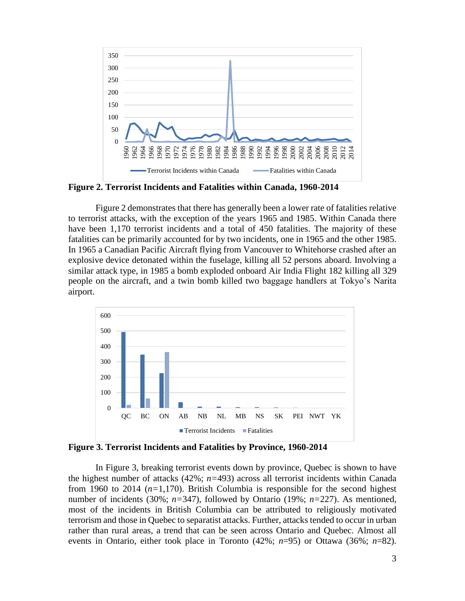

**Figure 2. Terrorist Incidents and Fatalities within Canada, 1960-2014**

Figure 2 demonstrates that there has generally been a lower rate of fatalities relative to terrorist attacks, with the exception of the years 1965 and 1985. Within Canada there have been 1,170 terrorist incidents and a total of 450 fatalities. The majority of these fatalities can be primarily accounted for by two incidents, one in 1965 and the other 1985. In 1965 a Canadian Pacific Aircraft flying from Vancouver to Whitehorse crashed after an explosive device detonated within the fuselage, killing all 52 persons aboard. Involving a similar attack type, in 1985 a bomb exploded onboard Air India Flight 182 killing all 329 people on the aircraft, and a twin bomb killed two baggage handlers at Tokyo's Narita airport.



**Figure 3. Terrorist Incidents and Fatalities by Province, 1960-2014**

In Figure 3, breaking terrorist events down by province, Quebec is shown to have the highest number of attacks (42%; *n=*493) across all terrorist incidents within Canada from 1960 to 2014 (*n=*1,170). British Columbia is responsible for the second highest number of incidents (30%; *n=*347), followed by Ontario (19%; *n=*227). As mentioned, most of the incidents in British Columbia can be attributed to religiously motivated terrorism and those in Quebec to separatist attacks. Further, attacks tended to occur in urban rather than rural areas, a trend that can be seen across Ontario and Quebec. Almost all events in Ontario, either took place in Toronto (42%; *n*=95) or Ottawa (36%; *n*=82).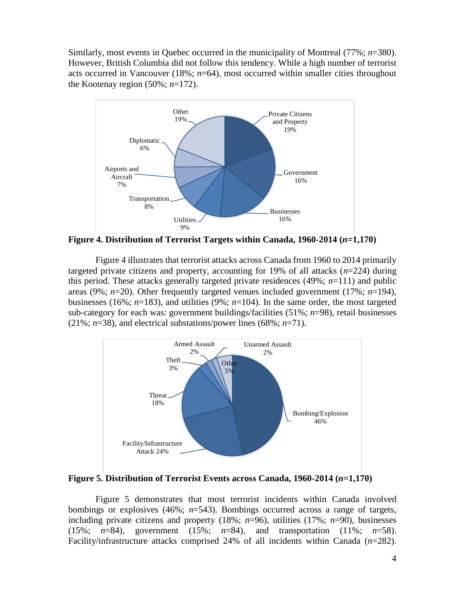Similarly, most events in Quebec occurred in the municipality of Montreal (77%; *n*=380). However, British Columbia did not follow this tendency. While a high number of terrorist acts occurred in Vancouver (18%; *n*=64), most occurred within smaller cities throughout the Kootenay region  $(50\%; n=172)$ .



**Figure 4. Distribution of Terrorist Targets within Canada, 1960-2014 (***n=***1,170)**

Figure 4 illustrates that terrorist attacks across Canada from 1960 to 2014 primarily targeted private citizens and property, accounting for 19% of all attacks  $(n=224)$  during this period. These attacks generally targeted private residences  $(49\%; n=111)$  and public areas (9%; *n*=20). Other frequently targeted venues included government (17%; *n*=194), businesses (16%; *n*=183), and utilities (9%; *n*=104). In the same order, the most targeted sub-category for each was: government buildings/facilities (51%; *n*=98), retail businesses (21%; *n*=38), and electrical substations/power lines (68%; *n*=71).



**Figure 5. Distribution of Terrorist Events across Canada, 1960-2014 (***n=***1,170)** 

Figure 5 demonstrates that most terrorist incidents within Canada involved bombings or explosives (46%; *n*=543). Bombings occurred across a range of targets, including private citizens and property (18%; *n*=96), utilities (17%; *n*=90), businesses (15%; *n*=84), government (15%; *n*=84), and transportation (11%; *n*=58). Facility/infrastructure attacks comprised 24% of all incidents within Canada (*n*=282).